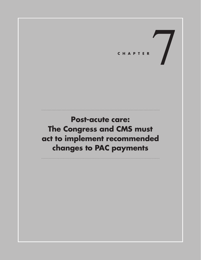CHAPTER

# **Post-acute care: The Congress and CMS must act to implement recommended changes to PAC payments**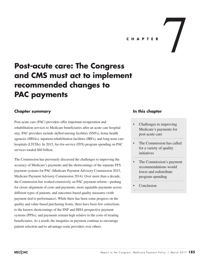

### **Chapter summary**

Post-acute care (PAC) providers offer important recuperation and rehabilitation services to Medicare beneficiaries after an acute care hospital stay. PAC providers include skilled nursing facilities (SNFs), home health agencies (HHAs), inpatient rehabilitation facilities (IRFs), and long-term care hospitals (LTCHs). In 2015, fee-for-service (FFS) program spending on PAC services totaled \$60 billion.

The Commission has previously discussed the challenges to improving the accuracy of Medicare's payments and the shortcomings of the separate FFS payment systems for PAC (Medicare Payment Advisory Commission 2015, Medicare Payment Advisory Commission 2014). Over more than a decade, the Commission has worked extensively on PAC payment reform—pushing for closer alignment of costs and payments, more equitable payments across different types of patients, and outcomes-based quality measures (with payment tied to performance). While there has been some progress on the quality and value-based purchasing fronts, there have been few corrections to the known shortcomings of the SNF and HHA prospective payment systems (PPSs), and payments remain high relative to the costs of treating beneficiaries. As a result, the inequities in payment continue to encourage patient selection and to advantage some providers over others.

#### **In this chapter**

- Challenges to improving Medicare's payments for post-acute care
- The Commission has called for a variety of quality initiatives
- The Commission's payment recommendations would lower and redistribute program spending
- **Conclusion**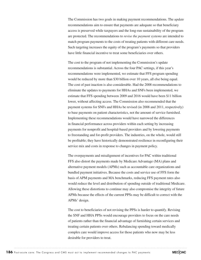The Commission has two goals in making payment recommendations. The *update* recommendations aim to ensure that payments are adequate so that beneficiary access is preserved while taxpayers and the long-run sustainability of the program are protected. The recommendations to *revise the payment systems* are intended to match program payments to the costs of treating patients with different care needs. Such targeting increases the equity of the program's payments so that providers have little financial incentive to treat some beneficiaries over others.

The cost to the program of not implementing the Commission's update recommendations is substantial. Across the four PAC settings, if this year's recommendations were implemented, we estimate that FFS program spending would be reduced by more than \$30 billion over 10 years, all else being equal. The cost of past inaction is also considerable. Had the 2008 recommendations to eliminate the updates to payments for HHAs and SNFs been implemented, we estimate that FFS spending between 2009 and 2016 would have been \$11 billion lower, without affecting access. The Commission also recommended that the payment systems for SNFs and HHAs be revised (in 2008 and 2011, respectively) to base payments on patient characteristics, not the amount of service furnished. Implementing these recommendations would have narrowed the differences in financial performance across providers within each setting by increasing payments for nonprofit and hospital-based providers and by lowering payments to freestanding and for-profit providers. The industries, on the whole, would still be profitable; they have historically demonstrated resilience in reconfiguring their service mix and costs in response to changes in payment policy.

The overpayments and misalignment of incentives for PAC within traditional FFS also distort the payments made by Medicare Advantage (MA) plans and alternative payment models (APMs) such as accountable care organizations and bundled payment initiatives. Because the costs and service use of FFS form the basis of APM payments and MA benchmarks, reducing FFS payment rates also would reduce the level and distribution of spending outside of traditional Medicare. Allowing these distortions to continue may also compromise the integrity of future APMs because the effects of the current PPSs may be difficult to correct with the APMs' design.

The cost to beneficiaries of not revising the PPSs is harder to quantify. Revising the SNF and HHA PPSs would encourage providers to focus on the care needs of patients rather than the financial advantage of furnishing certain services and treating certain patients over others. Rebalancing spending toward medically complex care would improve access for those patients who now may be less desirable for providers to treat.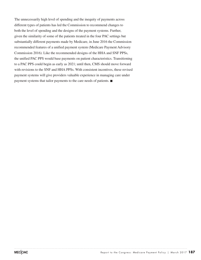The unnecessarily high level of spending and the inequity of payments across different types of patients has led the Commission to recommend changes to both the level of spending and the designs of the payment systems. Further, given the similarity of some of the patients treated in the four PAC settings but substantially different payments made by Medicare, in June 2016 the Commission recommended features of a unified payment system (Medicare Payment Advisory Commission 2016). Like the recommended designs of the HHA and SNF PPSs, the unified PAC PPS would base payments on patient characteristics. Transitioning to a PAC PPS could begin as early as 2021; until then, CMS should move forward with revisions to the SNF and HHA PPSs. With consistent incentives, these revised payment systems will give providers valuable experience in managing care under payment systems that tailor payments to the care needs of patients. ■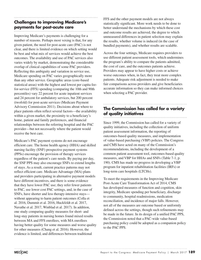# **Challenges to improving Medicare's payments for post-acute care**

Improving Medicare's payments is challenging for a number of reasons. Perhaps most vexing is that, for any given patient, the need for post-acute care (PAC) is not clear, and there is limited evidence on which setting would be best and what mix of services would achieve the best outcomes. The availability and use of PAC services also varies widely by market, demonstrating the considerable overlap of clinical capabilities of some PAC providers. Reflecting this ambiguity and variation in service use, Medicare spending on PAC varies geographically more than any other service. Geographic areas (core-based statistical areas) with the highest and lowest per capita feefor-service (FFS) spending (comparing the 10th and 90th percentiles) vary 22 percent for acute inpatient services and 24 percent for ambulatory services, but 200 percent (twofold) for post-acute services (Medicare Payment Advisory Commission 2011). Decisions about where to place patients often reflect several factors—the availability within a given market, the proximity to a beneficiary's home, patient and family preferences, and financial relationships between the referring hospital and the PAC provider—but not necessarily where the patient would receive the best care.

Medicare's PAC payment systems do not encourage efficient care. The home health agency (HHA) and skilled nursing facility (SNF) prospective payment systems (PPSs) encourage the provision of therapy services regardless of the patient's care needs. By paying per day, the SNF PPS may also encourage SNFs to extend lengths of stays. As a result, current practice patterns may not reflect efficient care. Medicare Advantage (MA) plans and providers participating in alternative payment models have different incentives, and there is some evidence that they have lower PAC use; they refer fewer patients to PAC, use lower cost PAC settings, and, in the case of SNFs, have shorter and less therapy-intensive stays without appearing to harm patient outcomes (Colla et al. 2016, Dummit et al. 2016, Huckfeldt et al. 2017, Navathe et al. 2017, Winblad et al. 2017). In addition, one study comparing quality measures for short- and long-stay patients in nursing homes found mixed results between MA and FFS enrollees, with MA enrollees having better quality for some measures and worse quality for other measures (Chang et al. 2016). However, the evidence is limited, and differences between traditional

FFS and the other payment models are not always statistically significant. More work needs to be done to better understand the mechanisms by which these cost and outcome results are achieved, the degree to which unmeasured differences in patient selection may explain the results, whether volume is induced (in the case of bundled payments), and whether results are scalable.

Across the four settings, Medicare requires providers to use different patient assessment tools, which undermines the program's ability to compare the patients admitted, the cost of care, and the outcomes patients achieve. Providers may appear to have higher costs or achieve worse outcomes when, in fact, they treat more complex patients. Adequate risk adjustment is needed to make fair comparisons across providers and give beneficiaries accurate information so they can make informed choices when selecting a PAC provider.

#### **The Commission has called for a variety of quality initiatives**

Since 1999, the Commission has called for a variety of quality initiatives, including the collection of uniform patient assessment information, the reporting of outcomes-based quality measures, and implementation of value-based purchasing (VBP) policies. The Congress and CMS have acted on many of the Commission's recommendations, including the development of a common patient assessment tool, outcomes-based quality measures, and VBP for HHAs and SNFs (Table 7-1, p. 190). CMS has made no progress in developing a VBP program for inpatient rehabilitation facilities (IRFs) or long-term care hospitals (LTCHs).

To meet the requirements in the Improving Medicare Post-Acute Care Transformation Act of 2014, CMS has developed measures of function and cognition, skin integrity, Medicare spending per beneficiary, discharge to community, hospital readmissions, medication reconciliation, and incidence of major falls. However, not all of the measures are outcome based or uniformly defined across the settings, though such refinements may be made in the future. In its design of a unified PAC PPS, the Commission noted that a PAC-wide value-based purchasing policy could be adopted as a companion policy to the PAC PPS.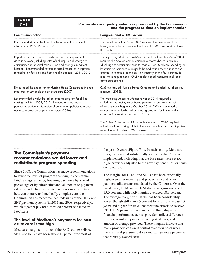#### **7–1 Post-acute care quality initiatives promoted by the Commission and the progress to date on implementation**

| <b>Congressional or CMS action</b>                                                                                                                                                                                                                                                                                                                                                                                                                       |
|----------------------------------------------------------------------------------------------------------------------------------------------------------------------------------------------------------------------------------------------------------------------------------------------------------------------------------------------------------------------------------------------------------------------------------------------------------|
| The Deficit Reduction Act of 2005 required the development and<br>testing of a uniform assessment instrument. CMS tested and evaluated<br>the tool (2011).                                                                                                                                                                                                                                                                                               |
| The Improving Medicare Post-Acute Care Transformation Act of 2014<br>required the development of common outcomes-based measures<br>(discharge to community; hospital readmission; Medicare spending per<br>beneficiary; incidence of major falls; medication reconciliation; and<br>changes in function, cognition, skin integrity) in the four settings. To<br>meet these requirements, CMS has developed measures in all post-<br>acute care settings. |
| CMS overhauled Nursing Home Compare and added four short-stay<br>measures (2016).                                                                                                                                                                                                                                                                                                                                                                        |
| The Protecting Access to Medicare Act of 2014 required a<br>skilled nursing facility value-based purchasing program that will<br>affect payments beginning October 2018. CMS implemented a<br>demonstration value-based purchasing program for home health<br>agencies in nine states in January 2016.                                                                                                                                                   |
| The Patient Protection and Affordable Care Act of 2010 required<br>value-based purchasing pilots in long-term care hospitals and inpatient<br>rehabilitation facilities; CMS has taken no action.                                                                                                                                                                                                                                                        |
|                                                                                                                                                                                                                                                                                                                                                                                                                                                          |

## **The Commission's payment recommendations would lower and redistribute program spending**

Since 2008, the Commission has made recommendations to lower the level of program spending in each of the PAC settings, either by lowering payments by a fixed percentage or by eliminating annual updates to payment rates, or both. To redistribute payments more equitably between therapy and medically complex care, the Commission has recommended redesigns of the HHA and SNF payment systems (in 2011 and 2008, respectively), which together pay for almost 80 percent of Medicare PAC stays.

#### **The level of Medicare's payments for postacute care is too high**

Medicare margins for three of the PAC settings (HHA, SNF, and IRF) have been above 10 percent for most of

the past 10 years (Figure 7-1). In each setting, Medicare margins increased substantially soon after the PPSs were implemented, indicating that the base rates were set too high, providers adjusted to the new payment rules, or some combination.

The margins for HHAs and SNFs have been especially high, even after rebasing and productivity and other payment adjustments mandated by the Congress. Over the last decade, HHA and SNF Medicare margins averaged 15.6 percent, while IRF margins averaged 10.9 percent. The average margin for LTCHs has been considerably lower, though still above 5 percent for most of the past 10 years and higher for stays that meet the criteria to receive LTCH PPS payments. Within each setting, disparities in financial performance across providers reflect differences in costs, admitting practices, coding strategies, and the amount of therapy provided. These margins indicate that many providers can exert control over their costs when there is fiscal pressure to do so and can generate payments that robustly exceed costs.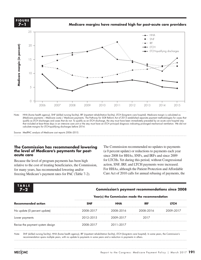

Note: HHA (home health agency), SNF (skilled nursing facility), IRF (inpatient rehabilitation facility), LTCH (long-term care hospital). Medicare margin is calculated as (Medicare payments – Medicare costs) / Medicare payments. The Pathway for SGR Reform Act of 2013 established separate payment methodologies for cases that qualify as LTCH discharges and cases that do not. To qualify as an LTCH discharge, the stay must have been immediately preceded by an acute care hospital stay that included at least three days in an intensive care unit or the stay must have an LTCH principal diagnosis indicating prolonged mechanical ventilation. We did not calculate margins for LTCH-qualifying discharges before 2014.

Source: MedPAC analysis of Medicare cost reports 2006–2015.

#### The Commission has recommended lowering **the level of Medicare's payments for postacute care**

Because the level of program payments has been high relative to the cost of treating beneficiaries, the Commission, for many years, has recommended lowering and/or For HHAs, freezing Medicare's payment rates for PAC (Table 7-2). Care Ac

The Commission recommended no updates to payments (a 0 percent update) or reductions to payments each year since 2008 for HHAs, SNFs, and IRFs and since 2009 for LTCHs. Yet during this period, without Congressional action, SNF, IRF, and LTCH payments were increased. For HHAs, although the Patient Protection and Affordable Care Act of 2010 calls for annual rebasing of payments, the

| <b>TABLE</b> |                                                        |
|--------------|--------------------------------------------------------|
|              |                                                        |
| 7-9          | <b>Commission's payment recommendations since 2008</b> |

## • The dashed line looked ok here, so I didn't hand draw it. **7–2 Commission's payment recommendations since 2008**

# $\boldsymbol{\mathsf{Year}}(\boldsymbol{\mathsf{s}})$  the Commission made the recommendation

| <b>Recommended action</b>        | $\ddot{\phantom{1}}$ |            |            |             |  |
|----------------------------------|----------------------|------------|------------|-------------|--|
|                                  | <b>SNF</b>           | <b>HHA</b> | <b>IRF</b> | <b>LTCH</b> |  |
| No update (0 percent update)     | 2008-2017            | 2008-2016  | 2008-2016  | 2009-2017   |  |
| Lower payments                   | 2012-2015            | 2009-2017  | 2017       |             |  |
| Revise the payment system design | 2008-2017            | 2011-2017  |            |             |  |
|                                  |                      |            |            |             |  |

Note: SNF (skilled nursing facility), HHA (home health agency), IRF (inpatient rehabilitation facility), LTCH (long-term care hospital). In some years, the Commission's recommendation spans multiple years, with no update to payments in some years and a reduction in payments in others.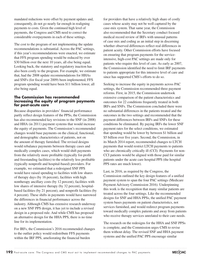mandated reductions were offset by payment updates and, consequently, do not go nearly far enough in realigning payments to costs. Given the continued high level of payments, the Congress and CMS need to correct the considerable overpayments in each of these settings.

The cost to the program of not implementing the update recommendations is substantial. Across the PAC settings, if this year's recommendations were enacted, we estimate that FFS program spending would be reduced by over \$30 billion over the next 10 years, all else being equal. Looking back, the statutory and regulatory inaction has also been costly to the program. For example, we estimate that, had the 2008 update recommendations for HHAs and SNFs (for fiscal year 2009) been implemented, FFS program spending would have been \$11 billion lower, all else being equal.

#### **The Commission has recommended increasing the equity of program payments for post-acute care**

Because disparities in providers' financial performance partly reflect design features of the PPSs, the Commission has also recommended key revisions to the SNF (in 2008) and HHA (in 2011) payment systems that would increase the equity of payments. The Commission's recommended changes would base payments on the clinical, functional, and demographic characteristics of patients, not on the amount of therapy furnished. The revised designs would rebalance payments between therapy cases and medically complex cases, which would shift payments from the relatively more profitable (typically for-profit and freestanding facilities) to the relatively less profitable (typically nonprofit and hospital-based) providers. For example, we estimated that a redesigned SNF PPS would have raised spending to facilities with low shares of therapy days (by 16 percent), facilities with high nontherapy ancillary costs (by 12 percent), facilities with low shares of intensive therapy (by 32 percent), hospitalbased facilities (by 21 percent), and nonprofit facilities (by 4 percent). These shifts in payments would have narrowed the differences in financial performance across the industry. Although CMS has extensive research underway on a new SNF PPS design, it has yet to include a revised design in a proposed rule. And while CMS has proposed an alternative design for the HHA PPS, there is no time line for its implementation.

For IRFs, the Commission's 2016 recommended changes to the outlier policy would redistribute FFS payments within the IRF PPS, ameliorating the financial burden

for providers that have a relatively high share of costly cases whose acuity may not be well captured by the case-mix system. That same year, the Commission also recommended that the Secretary conduct focused medical record review of IRFs with unusual patterns of case mix and coding as an initial step in discerning whether observed differences reflect real differences in patient acuity. Other Commission efforts have focused on ensuring that program payments for the serviceintensive, high-cost PAC settings are made only for patients who require this level of care. As early as 2007, the Commission identified the need to limit IRF payments to patients appropriate for this intensive level of care and since has supported CMS's efforts to do so.

Seeking to increase the equity in payments across PAC settings, the Commission recommended three payment reforms. First, in 2015, the Commission undertook extensive comparison of the patient characteristics and outcomes for 22 conditions frequently treated in both IRFs and SNFs. The Commission concluded there were no substantial differences in the patients treated and the outcomes in the two settings and recommended that the payment differences between IRFs and SNFs for these conditions be eliminated. By paying IRFs the lower SNF payment rates for the select conditions, we estimated that spending would be lower by between \$1 billion and \$5 billion over five years. Second, the Commission, in its March 2014 report, recommended changes to LTCH payments that would restrict LTCH payments to patients who are chronically critically ill (CCI). Payments for non-CCI patients would be aligned with those paid for similar patients under the acute care hospital PPS (the hospital PPS rates are much lower).

Last, in 2016, as required by the Congress, the Commission outlined the key design features of a unified payment system to span the four PAC settings (Medicare Payment Advisory Commission 2016). Underpinning this work is the recognition that many similar patients are treated across the four settings. Like the recommended designs for SNF and HHA PPSs, the unified PAC payment system bases payments on patient characteristics, not services furnished, and would redirect program payments toward medically complex patients and away from patients who receive therapy services unrelated to their care needs.

The research on the redesigns for the HHA and SNF PPSs is complete, and the Commission urges CMS to revise them without delay. The revised SNF and HHA payment systems and the unified PAC PPS encourage similar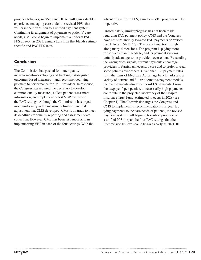provider behavior, so SNFs and HHAs will gain valuable experience managing care under the revised PPSs that will ease their transition to a unified payment system. Continuing its alignment of payments to patients' care needs, CMS could begin to implement a uniform PAC PPS as soon as 2021, using a transition that blends settingspecific and PAC PPS rates.

## **Conclusion**

The Commission has pushed for better quality measurement—developing and tracking risk-adjusted outcomes-based measures—and recommended tying payment to performance for PAC providers. In response, the Congress has required the Secretary to develop common quality measures, collect patient assessment information, and implement or test VBP for three of the PAC settings. Although the Commission has urged more uniformity in the measure definitions and risk adjustment that CMS developed, CMS is on track to meet its deadlines for quality reporting and assessment data collection. However, CMS has been less successful in implementing VBP in each of the four settings. With the

advent of a uniform PPS, a uniform VBP program will be imperative.

Unfortunately, similar progress has not been made regarding PAC payment policy. CMS and the Congress have not substantially lowered PAC payments or revised the HHA and SNF PPSs. The cost of inaction is high along many dimensions. The program is paying more for services than it needs to, and its payment systems unfairly advantage some providers over others. By sending the wrong price signals, current payments encourage providers to furnish unnecessary care and to prefer to treat some patients over others. Given that FFS payment rates form the basis of Medicare Advantage benchmarks and a variety of current and future alternative payment models, the overpayments also affect non-FFS payments. From the taxpayers' perspective, unnecessarily high payments contribute to the projected insolvency of the Hospital Insurance Trust Fund, estimated to occur in 2028 (see Chapter 1). The Commission urges the Congress and CMS to implement its recommendations this year. By tying payments to the care needs of patients, the revised payment systems will begin to transition providers to a unified PPS to span the four PAC settings that the Commission believes could begin as early as 2021. ■